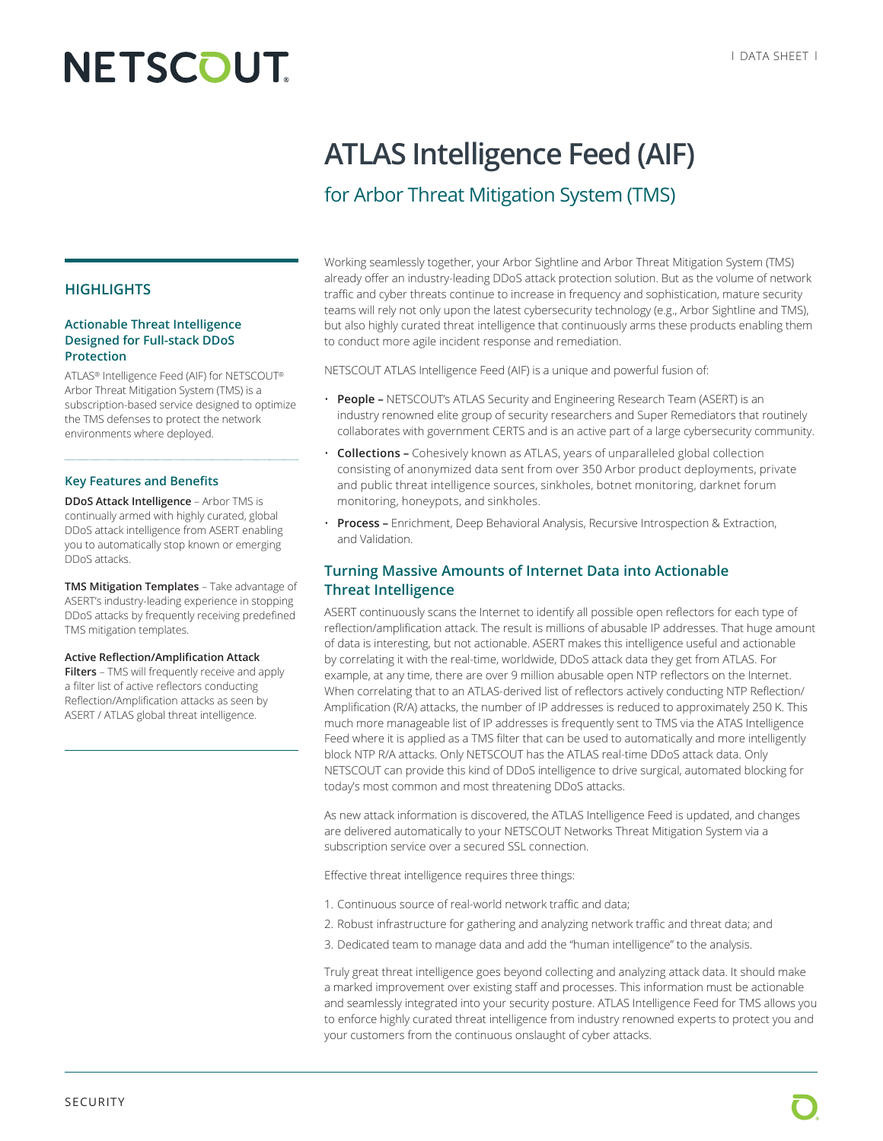# **NETSCOUT**

## **ATLAS Intelligence Feed (AIF)**

### for Arbor Threat Mitigation System (TMS)

Working seamlessly together, your Arbor Sightline and Arbor Threat Mitigation System (TMS) already offer an industry-leading DDoS attack protection solution. But as the volume of network traffic and cyber threats continue to increase in frequency and sophistication, mature security teams will rely not only upon the latest cybersecurity technology (e.g., Arbor Sightline and TMS), but also highly curated threat intelligence that continuously arms these products enabling them to conduct more agile incident response and remediation.

NETSCOUT ATLAS Intelligence Feed (AIF) is a unique and powerful fusion of:

- **People –** NETSCOUT's ATLAS Security and Engineering Research Team (ASERT) is an industry renowned elite group of security researchers and Super Remediators that routinely collaborates with government CERTS and is an active part of a large cybersecurity community.
- **Collections –** Cohesively known as ATLAS, years of unparalleled global collection consisting of anonymized data sent from over 350 Arbor product deployments, private and public threat intelligence sources, sinkholes, botnet monitoring, darknet forum monitoring, honeypots, and sinkholes.
- **Process –** Enrichment, Deep Behavioral Analysis, Recursive Introspection & Extraction, and Validation.

#### **Turning Massive Amounts of Internet Data into Actionable Threat Intelligence**

ASERT continuously scans the Internet to identify all possible open reflectors for each type of reflection/amplification attack. The result is millions of abusable IP addresses. That huge amount of data is interesting, but not actionable. ASERT makes this intelligence useful and actionable by correlating it with the real-time, worldwide, DDoS attack data they get from ATLAS. For example, at any time, there are over 9 million abusable open NTP reflectors on the Internet. When correlating that to an ATLAS-derived list of reflectors actively conducting NTP Reflection/ Amplification (R/A) attacks, the number of IP addresses is reduced to approximately 250 K. This much more manageable list of IP addresses is frequently sent to TMS via the ATAS Intelligence Feed where it is applied as a TMS filter that can be used to automatically and more intelligently block NTP R/A attacks. Only NETSCOUT has the ATLAS real-time DDoS attack data. Only NETSCOUT can provide this kind of DDoS intelligence to drive surgical, automated blocking for today's most common and most threatening DDoS attacks.

As new attack information is discovered, the ATLAS Intelligence Feed is updated, and changes are delivered automatically to your NETSCOUT Networks Threat Mitigation System via a subscription service over a secured SSL connection.

Effective threat intelligence requires three things:

- 1. Continuous source of real-world network traffic and data;
- 2. Robust infrastructure for gathering and analyzing network traffic and threat data; and
- 3. Dedicated team to manage data and add the "human intelligence" to the analysis.

Truly great threat intelligence goes beyond collecting and analyzing attack data. It should make a marked improvement over existing staff and processes. This information must be actionable and seamlessly integrated into your security posture. ATLAS Intelligence Feed for TMS allows you to enforce highly curated threat intelligence from industry renowned experts to protect you and your customers from the continuous onslaught of cyber attacks.

#### **HIGHLIGHTS**

#### **Actionable Threat Intelligence Designed for Full-stack DDoS Protection**

ATLAS® Intelligence Feed (AIF) for NETSCOUT® Arbor Threat Mitigation System (TMS) is a subscription-based service designed to optimize the TMS defenses to protect the network environments where deployed.

#### **Key Features and Benefits**

**DDoS Attack Intelligence** – Arbor TMS is continually armed with highly curated, global DDoS attack intelligence from ASERT enabling you to automatically stop known or emerging DDoS attacks.

**TMS Mitigation Templates** – Take advantage of ASERT's industry-leading experience in stopping DDoS attacks by frequently receiving predefined TMS mitigation templates.

#### **Active Reflection/Amplification Attack**

**Filters** – TMS will frequently receive and apply a filter list of active reflectors conducting Reflection/Amplification attacks as seen by ASERT / ATLAS global threat intelligence.